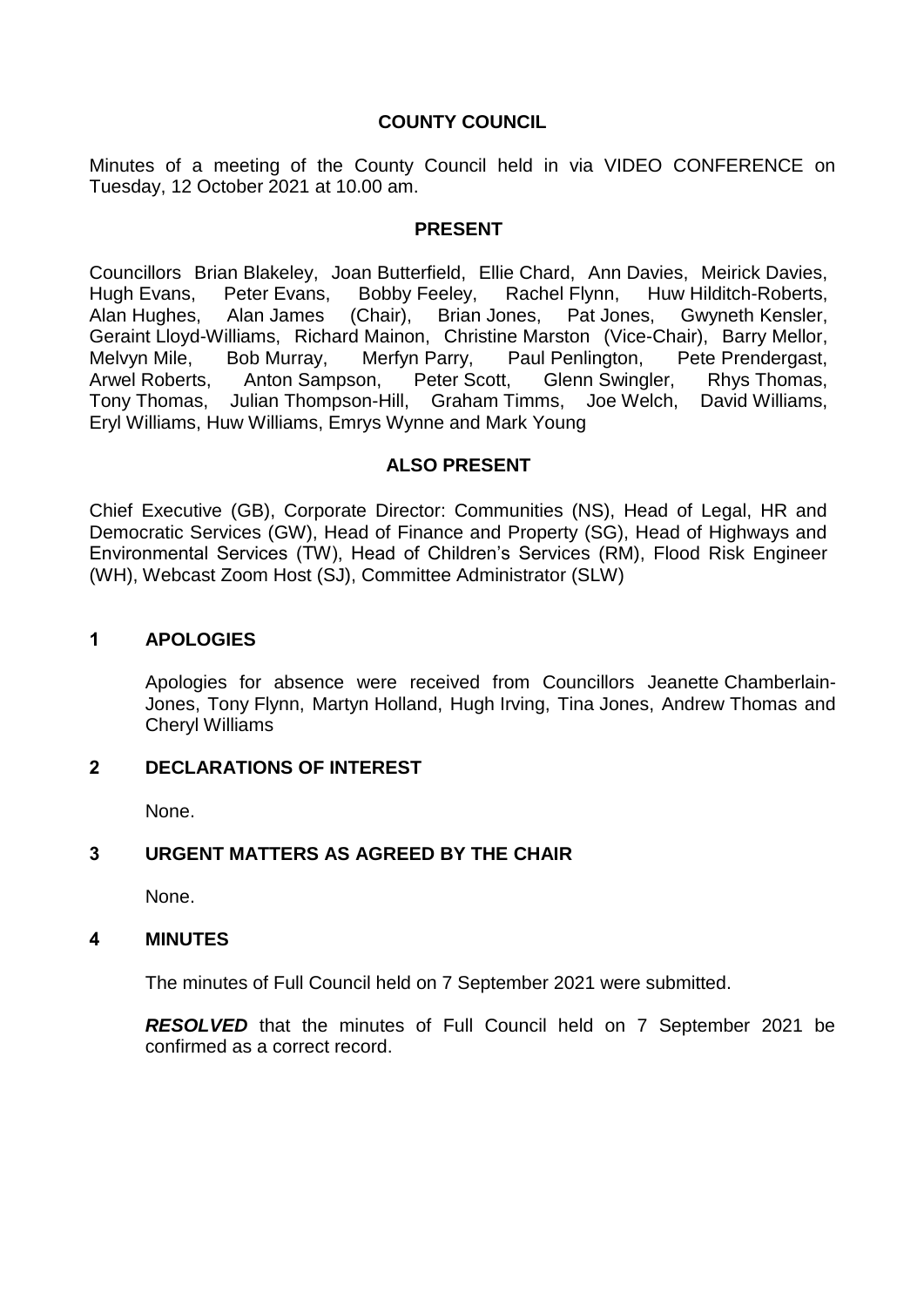# **COUNTY COUNCIL**

Minutes of a meeting of the County Council held in via VIDEO CONFERENCE on Tuesday, 12 October 2021 at 10.00 am.

## **PRESENT**

Councillors Brian Blakeley, Joan Butterfield, Ellie Chard, Ann Davies, Meirick Davies, Hugh Evans, Peter Evans, Bobby Feeley, Rachel Flynn, Huw Hilditch-Roberts, Alan Hughes, Alan James (Chair), Brian Jones, Pat Jones, Gwyneth Kensler, Geraint Lloyd-Williams, Richard Mainon, Christine Marston (Vice-Chair), Barry Mellor, Melvyn Mile, Bob Murray, Merfyn Parry, Paul Penlington, Pete Prendergast, Arwel Roberts, Anton Sampson, Peter Scott, Glenn Swingler, Rhys Thomas, Tony Thomas, Julian Thompson-Hill, Graham Timms, Joe Welch, David Williams, Eryl Williams, Huw Williams, Emrys Wynne and Mark Young

# **ALSO PRESENT**

Chief Executive (GB), Corporate Director: Communities (NS), Head of Legal, HR and Democratic Services (GW), Head of Finance and Property (SG), Head of Highways and Environmental Services (TW), Head of Children's Services (RM), Flood Risk Engineer (WH), Webcast Zoom Host (SJ), Committee Administrator (SLW)

## **1 APOLOGIES**

Apologies for absence were received from Councillors Jeanette Chamberlain-Jones, Tony Flynn, Martyn Holland, Hugh Irving, Tina Jones, Andrew Thomas and Cheryl Williams

# **2 DECLARATIONS OF INTEREST**

None.

# **3 URGENT MATTERS AS AGREED BY THE CHAIR**

None.

#### **4 MINUTES**

The minutes of Full Council held on 7 September 2021 were submitted.

*RESOLVED* that the minutes of Full Council held on 7 September 2021 be confirmed as a correct record.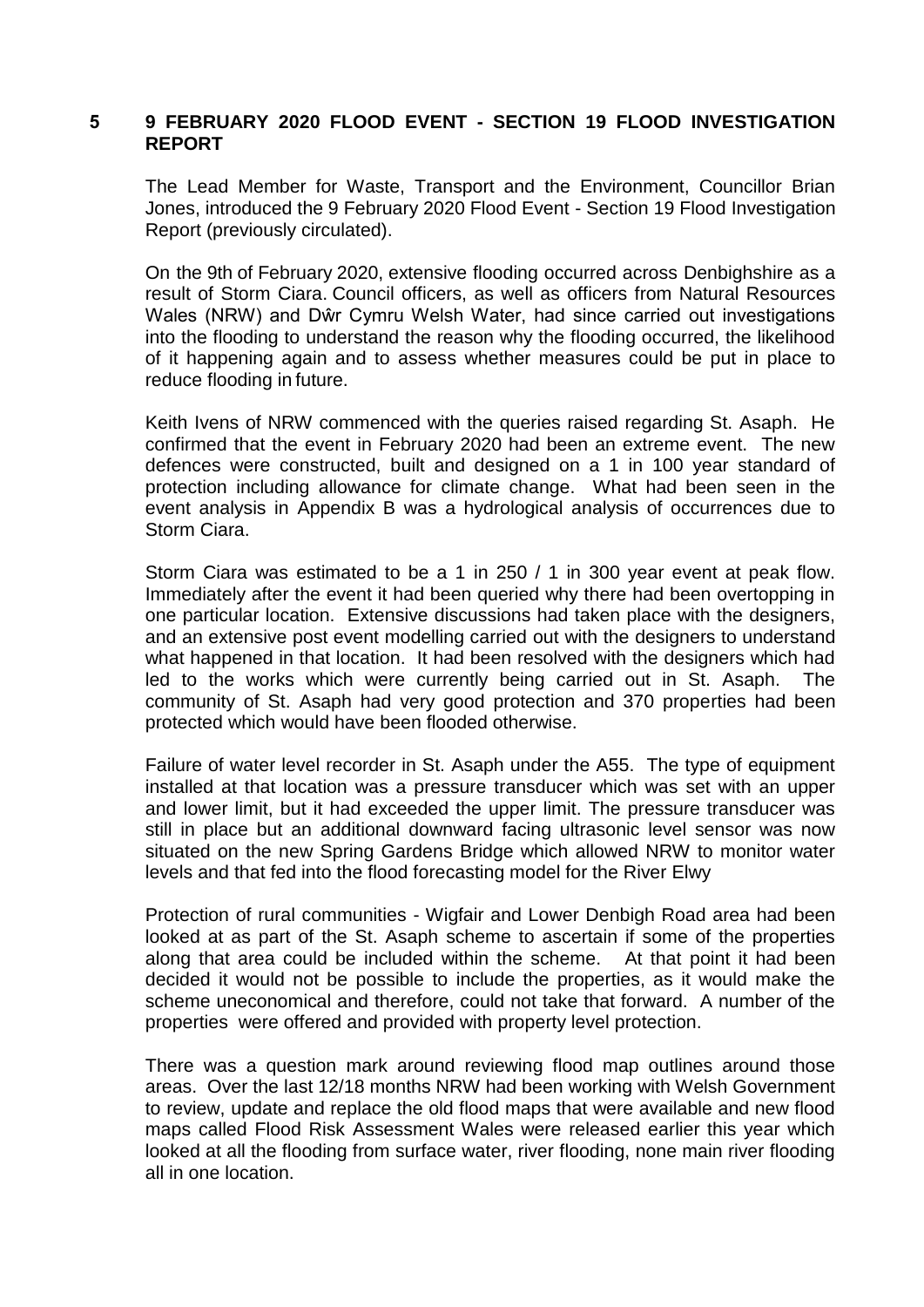## **5 9 FEBRUARY 2020 FLOOD EVENT - SECTION 19 FLOOD INVESTIGATION REPORT**

The Lead Member for Waste, Transport and the Environment, Councillor Brian Jones, introduced the 9 February 2020 Flood Event - Section 19 Flood Investigation Report (previously circulated).

On the 9th of February 2020, extensive flooding occurred across Denbighshire as a result of Storm Ciara. Council officers, as well as officers from Natural Resources Wales (NRW) and Dŵr Cymru Welsh Water, had since carried out investigations into the flooding to understand the reason why the flooding occurred, the likelihood of it happening again and to assess whether measures could be put in place to reduce flooding in future.

Keith Ivens of NRW commenced with the queries raised regarding St. Asaph. He confirmed that the event in February 2020 had been an extreme event. The new defences were constructed, built and designed on a 1 in 100 year standard of protection including allowance for climate change. What had been seen in the event analysis in Appendix B was a hydrological analysis of occurrences due to Storm Ciara.

Storm Ciara was estimated to be a 1 in 250 / 1 in 300 year event at peak flow. Immediately after the event it had been queried why there had been overtopping in one particular location. Extensive discussions had taken place with the designers, and an extensive post event modelling carried out with the designers to understand what happened in that location. It had been resolved with the designers which had led to the works which were currently being carried out in St. Asaph. The community of St. Asaph had very good protection and 370 properties had been protected which would have been flooded otherwise.

Failure of water level recorder in St. Asaph under the A55. The type of equipment installed at that location was a pressure transducer which was set with an upper and lower limit, but it had exceeded the upper limit. The pressure transducer was still in place but an additional downward facing ultrasonic level sensor was now situated on the new Spring Gardens Bridge which allowed NRW to monitor water levels and that fed into the flood forecasting model for the River Elwy

Protection of rural communities - Wigfair and Lower Denbigh Road area had been looked at as part of the St. Asaph scheme to ascertain if some of the properties along that area could be included within the scheme. At that point it had been decided it would not be possible to include the properties, as it would make the scheme uneconomical and therefore, could not take that forward. A number of the properties were offered and provided with property level protection.

There was a question mark around reviewing flood map outlines around those areas. Over the last 12/18 months NRW had been working with Welsh Government to review, update and replace the old flood maps that were available and new flood maps called Flood Risk Assessment Wales were released earlier this year which looked at all the flooding from surface water, river flooding, none main river flooding all in one location.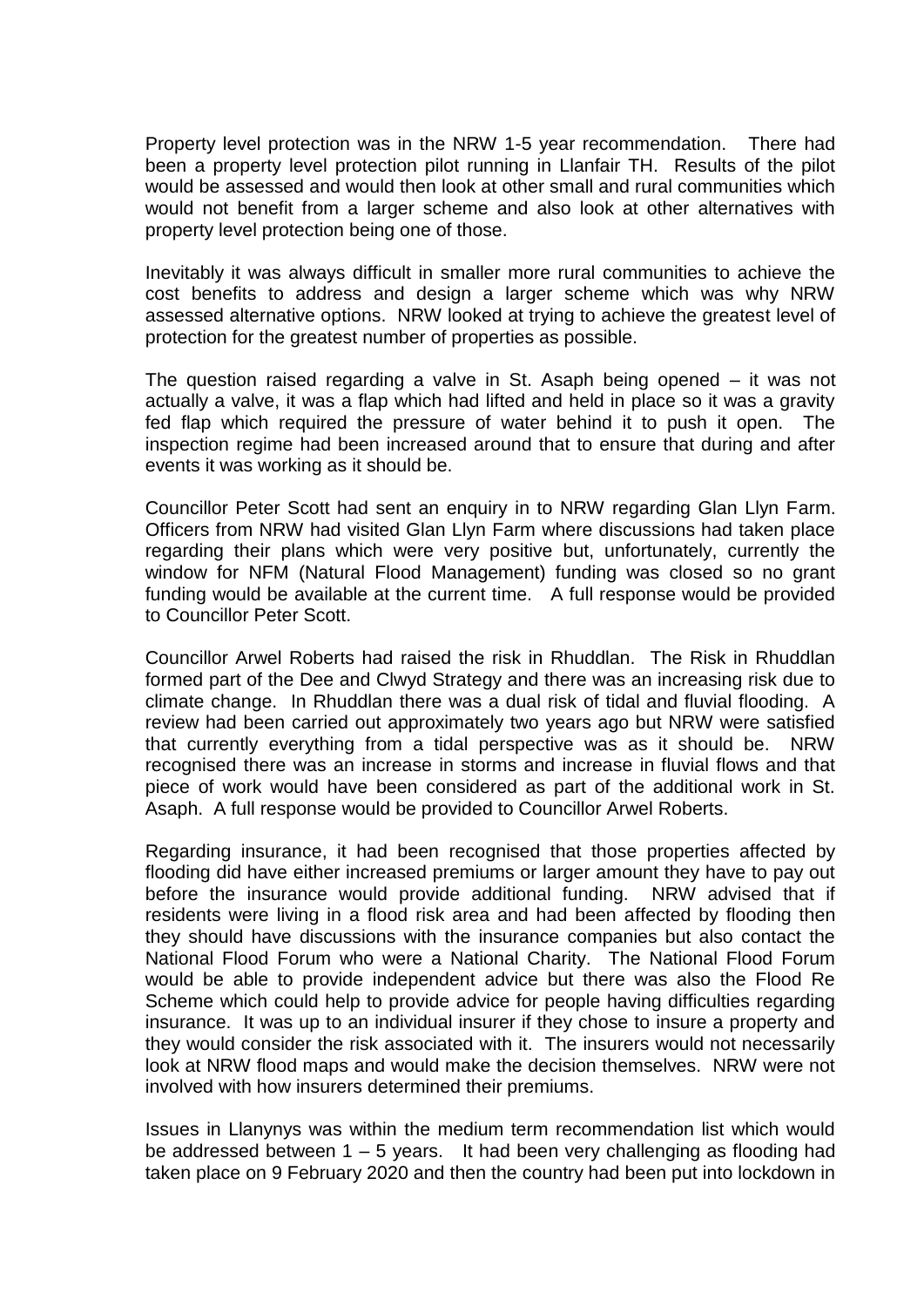Property level protection was in the NRW 1-5 year recommendation. There had been a property level protection pilot running in Llanfair TH. Results of the pilot would be assessed and would then look at other small and rural communities which would not benefit from a larger scheme and also look at other alternatives with property level protection being one of those.

Inevitably it was always difficult in smaller more rural communities to achieve the cost benefits to address and design a larger scheme which was why NRW assessed alternative options. NRW looked at trying to achieve the greatest level of protection for the greatest number of properties as possible.

The question raised regarding a valve in St. Asaph being opened – it was not actually a valve, it was a flap which had lifted and held in place so it was a gravity fed flap which required the pressure of water behind it to push it open. The inspection regime had been increased around that to ensure that during and after events it was working as it should be.

Councillor Peter Scott had sent an enquiry in to NRW regarding Glan Llyn Farm. Officers from NRW had visited Glan Llyn Farm where discussions had taken place regarding their plans which were very positive but, unfortunately, currently the window for NFM (Natural Flood Management) funding was closed so no grant funding would be available at the current time. A full response would be provided to Councillor Peter Scott.

Councillor Arwel Roberts had raised the risk in Rhuddlan. The Risk in Rhuddlan formed part of the Dee and Clwyd Strategy and there was an increasing risk due to climate change. In Rhuddlan there was a dual risk of tidal and fluvial flooding. A review had been carried out approximately two years ago but NRW were satisfied that currently everything from a tidal perspective was as it should be. NRW recognised there was an increase in storms and increase in fluvial flows and that piece of work would have been considered as part of the additional work in St. Asaph. A full response would be provided to Councillor Arwel Roberts.

Regarding insurance, it had been recognised that those properties affected by flooding did have either increased premiums or larger amount they have to pay out before the insurance would provide additional funding. NRW advised that if residents were living in a flood risk area and had been affected by flooding then they should have discussions with the insurance companies but also contact the National Flood Forum who were a National Charity. The National Flood Forum would be able to provide independent advice but there was also the Flood Re Scheme which could help to provide advice for people having difficulties regarding insurance. It was up to an individual insurer if they chose to insure a property and they would consider the risk associated with it. The insurers would not necessarily look at NRW flood maps and would make the decision themselves. NRW were not involved with how insurers determined their premiums.

Issues in Llanynys was within the medium term recommendation list which would be addressed between 1 – 5 years. It had been very challenging as flooding had taken place on 9 February 2020 and then the country had been put into lockdown in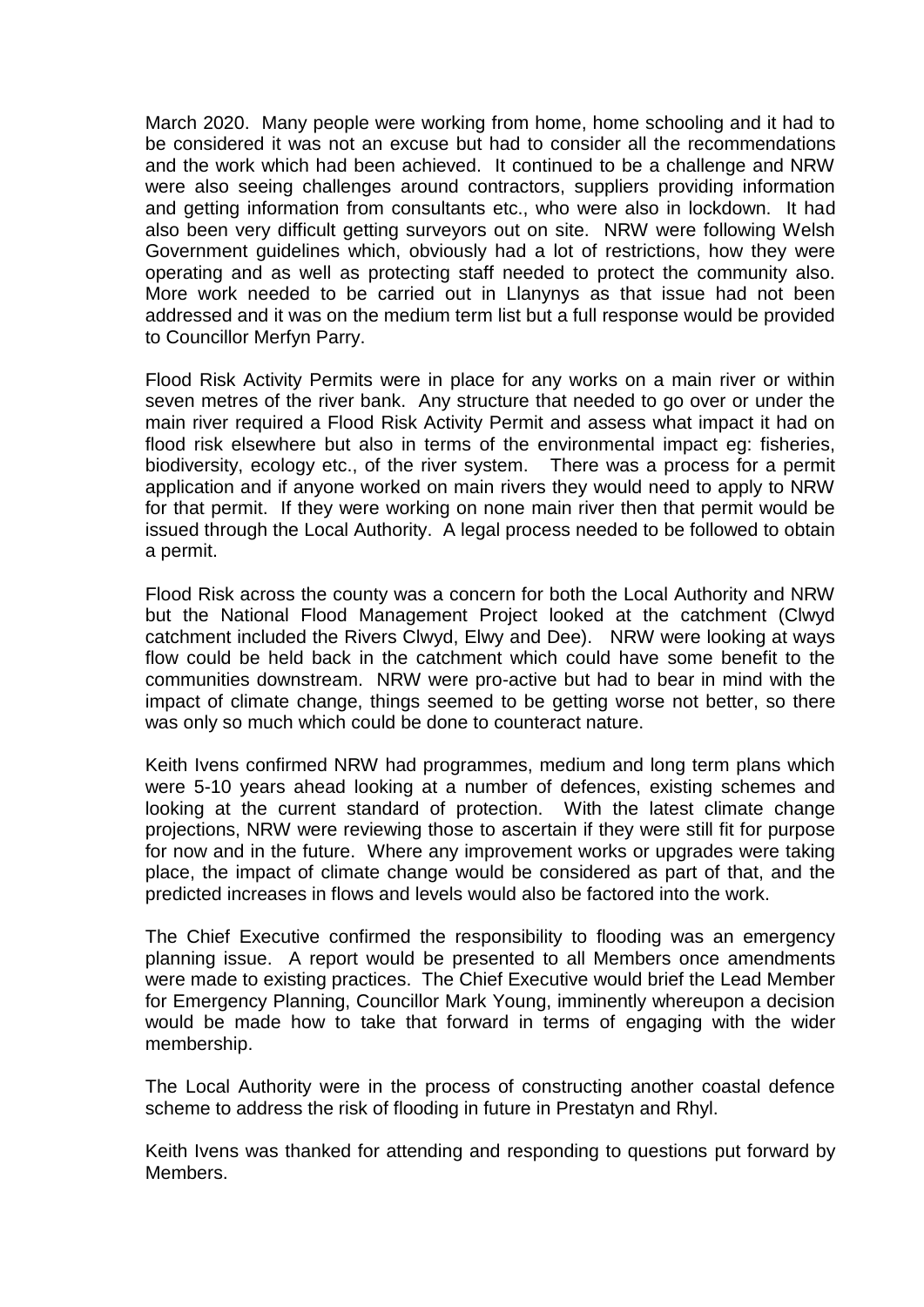March 2020. Many people were working from home, home schooling and it had to be considered it was not an excuse but had to consider all the recommendations and the work which had been achieved. It continued to be a challenge and NRW were also seeing challenges around contractors, suppliers providing information and getting information from consultants etc., who were also in lockdown. It had also been very difficult getting surveyors out on site. NRW were following Welsh Government guidelines which, obviously had a lot of restrictions, how they were operating and as well as protecting staff needed to protect the community also. More work needed to be carried out in Llanynys as that issue had not been addressed and it was on the medium term list but a full response would be provided to Councillor Merfyn Parry.

Flood Risk Activity Permits were in place for any works on a main river or within seven metres of the river bank. Any structure that needed to go over or under the main river required a Flood Risk Activity Permit and assess what impact it had on flood risk elsewhere but also in terms of the environmental impact eg: fisheries, biodiversity, ecology etc., of the river system. There was a process for a permit application and if anyone worked on main rivers they would need to apply to NRW for that permit. If they were working on none main river then that permit would be issued through the Local Authority. A legal process needed to be followed to obtain a permit.

Flood Risk across the county was a concern for both the Local Authority and NRW but the National Flood Management Project looked at the catchment (Clwyd catchment included the Rivers Clwyd, Elwy and Dee). NRW were looking at ways flow could be held back in the catchment which could have some benefit to the communities downstream. NRW were pro-active but had to bear in mind with the impact of climate change, things seemed to be getting worse not better, so there was only so much which could be done to counteract nature.

Keith Ivens confirmed NRW had programmes, medium and long term plans which were 5-10 years ahead looking at a number of defences, existing schemes and looking at the current standard of protection. With the latest climate change projections, NRW were reviewing those to ascertain if they were still fit for purpose for now and in the future. Where any improvement works or upgrades were taking place, the impact of climate change would be considered as part of that, and the predicted increases in flows and levels would also be factored into the work.

The Chief Executive confirmed the responsibility to flooding was an emergency planning issue. A report would be presented to all Members once amendments were made to existing practices. The Chief Executive would brief the Lead Member for Emergency Planning, Councillor Mark Young, imminently whereupon a decision would be made how to take that forward in terms of engaging with the wider membership.

The Local Authority were in the process of constructing another coastal defence scheme to address the risk of flooding in future in Prestatyn and Rhyl.

Keith Ivens was thanked for attending and responding to questions put forward by Members.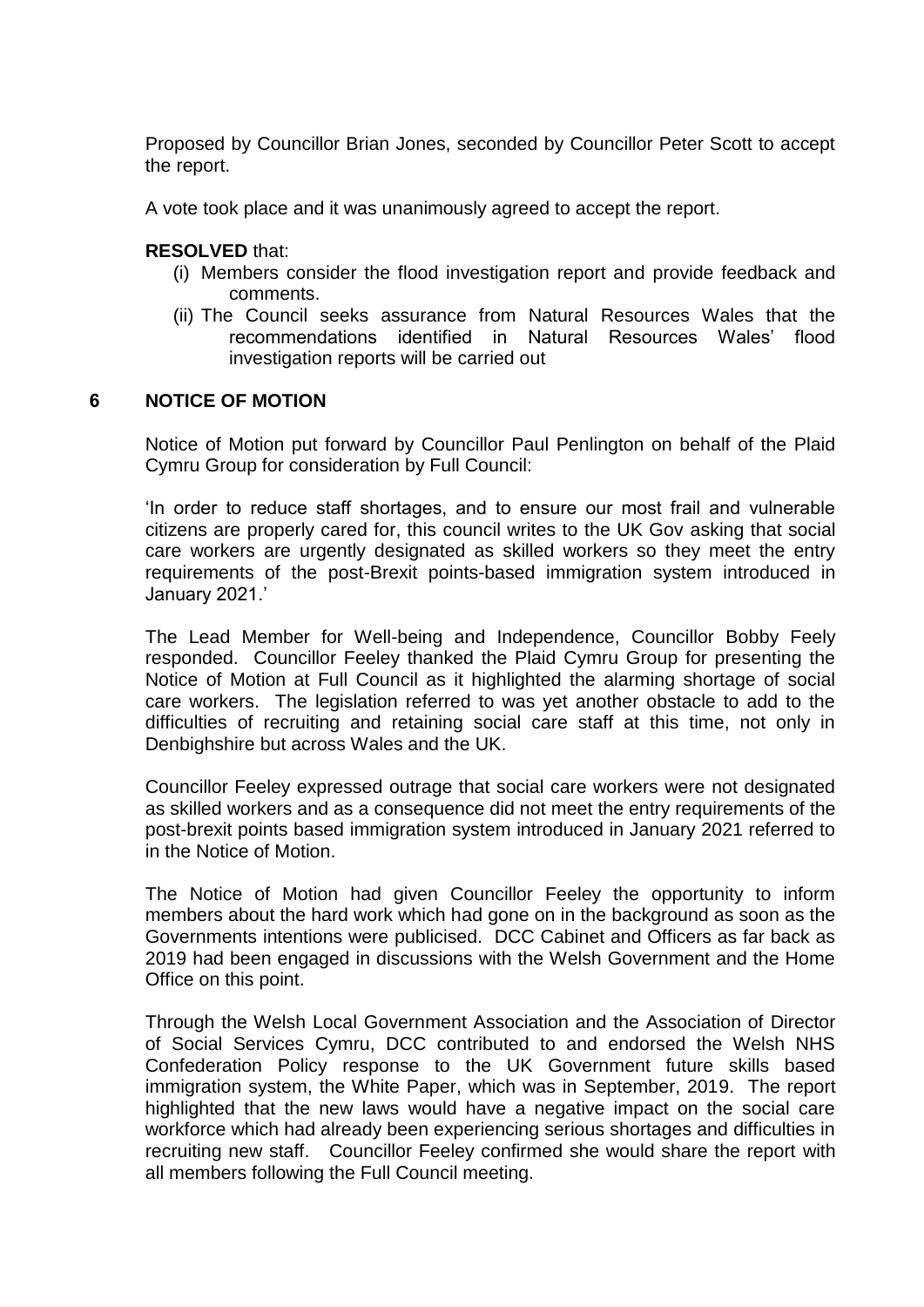Proposed by Councillor Brian Jones, seconded by Councillor Peter Scott to accept the report.

A vote took place and it was unanimously agreed to accept the report.

## **RESOLVED** that:

- (i) Members consider the flood investigation report and provide feedback and comments.
- (ii) The Council seeks assurance from Natural Resources Wales that the recommendations identified in Natural Resources Wales' flood investigation reports will be carried out

# **6 NOTICE OF MOTION**

Notice of Motion put forward by Councillor Paul Penlington on behalf of the Plaid Cymru Group for consideration by Full Council:

'In order to reduce staff shortages, and to ensure our most frail and vulnerable citizens are properly cared for, this council writes to the UK Gov asking that social care workers are urgently designated as skilled workers so they meet the entry requirements of the post-Brexit points-based immigration system introduced in January 2021.'

The Lead Member for Well-being and Independence, Councillor Bobby Feely responded. Councillor Feeley thanked the Plaid Cymru Group for presenting the Notice of Motion at Full Council as it highlighted the alarming shortage of social care workers. The legislation referred to was yet another obstacle to add to the difficulties of recruiting and retaining social care staff at this time, not only in Denbighshire but across Wales and the UK.

Councillor Feeley expressed outrage that social care workers were not designated as skilled workers and as a consequence did not meet the entry requirements of the post-brexit points based immigration system introduced in January 2021 referred to in the Notice of Motion.

The Notice of Motion had given Councillor Feeley the opportunity to inform members about the hard work which had gone on in the background as soon as the Governments intentions were publicised. DCC Cabinet and Officers as far back as 2019 had been engaged in discussions with the Welsh Government and the Home Office on this point.

Through the Welsh Local Government Association and the Association of Director of Social Services Cymru, DCC contributed to and endorsed the Welsh NHS Confederation Policy response to the UK Government future skills based immigration system, the White Paper, which was in September, 2019. The report highlighted that the new laws would have a negative impact on the social care workforce which had already been experiencing serious shortages and difficulties in recruiting new staff. Councillor Feeley confirmed she would share the report with all members following the Full Council meeting.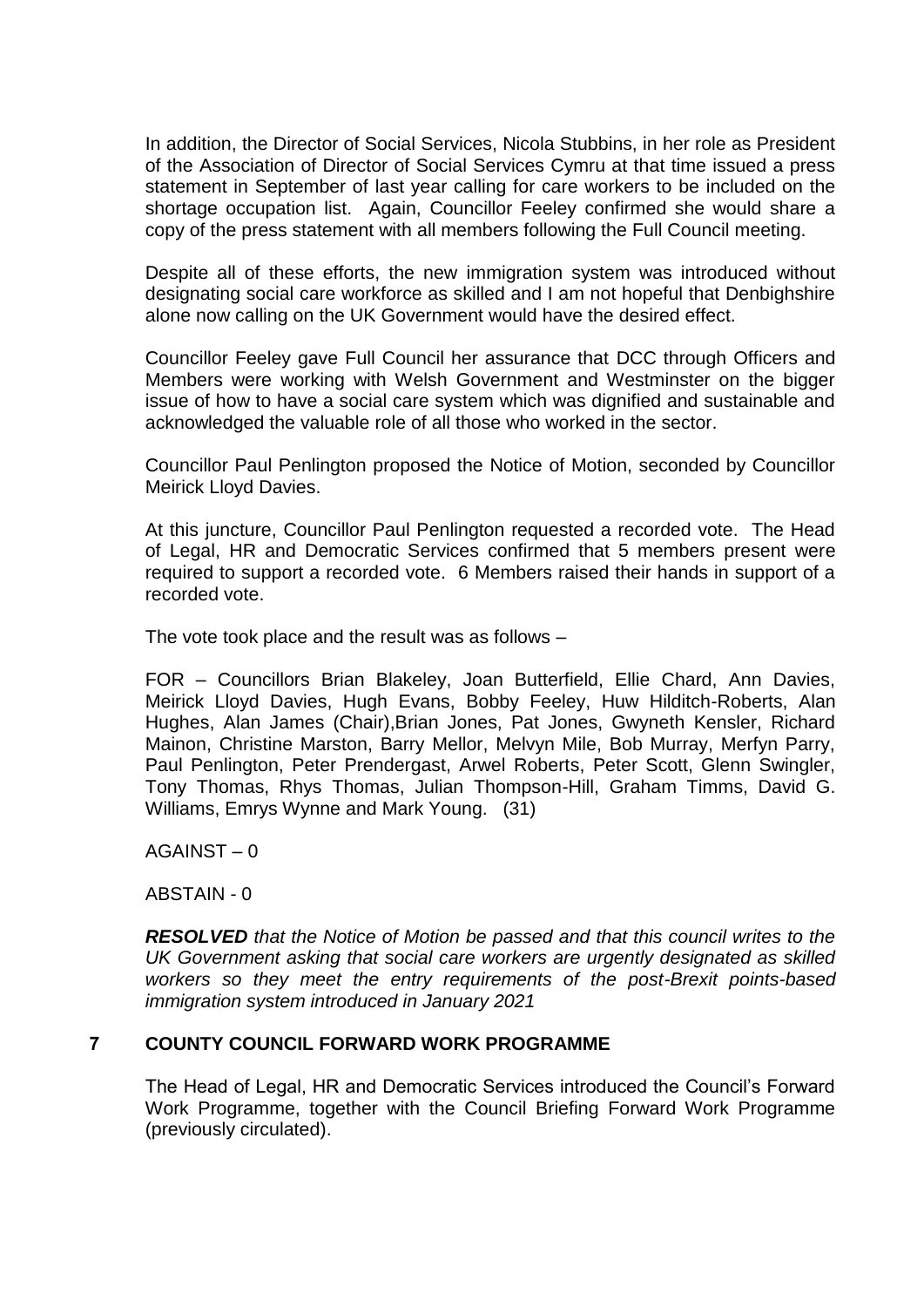In addition, the Director of Social Services, Nicola Stubbins, in her role as President of the Association of Director of Social Services Cymru at that time issued a press statement in September of last year calling for care workers to be included on the shortage occupation list. Again, Councillor Feeley confirmed she would share a copy of the press statement with all members following the Full Council meeting.

Despite all of these efforts, the new immigration system was introduced without designating social care workforce as skilled and I am not hopeful that Denbighshire alone now calling on the UK Government would have the desired effect.

Councillor Feeley gave Full Council her assurance that DCC through Officers and Members were working with Welsh Government and Westminster on the bigger issue of how to have a social care system which was dignified and sustainable and acknowledged the valuable role of all those who worked in the sector.

Councillor Paul Penlington proposed the Notice of Motion, seconded by Councillor Meirick Lloyd Davies.

At this juncture, Councillor Paul Penlington requested a recorded vote. The Head of Legal, HR and Democratic Services confirmed that 5 members present were required to support a recorded vote. 6 Members raised their hands in support of a recorded vote.

The vote took place and the result was as follows –

FOR – Councillors Brian Blakeley, Joan Butterfield, Ellie Chard, Ann Davies, Meirick Lloyd Davies, Hugh Evans, Bobby Feeley, Huw Hilditch-Roberts, Alan Hughes, Alan James (Chair),Brian Jones, Pat Jones, Gwyneth Kensler, Richard Mainon, Christine Marston, Barry Mellor, Melvyn Mile, Bob Murray, Merfyn Parry, Paul Penlington, Peter Prendergast, Arwel Roberts, Peter Scott, Glenn Swingler, Tony Thomas, Rhys Thomas, Julian Thompson-Hill, Graham Timms, David G. Williams, Emrys Wynne and Mark Young. (31)

AGAINST – 0

ABSTAIN - 0

*RESOLVED that the Notice of Motion be passed and that this council writes to the UK Government asking that social care workers are urgently designated as skilled workers so they meet the entry requirements of the post-Brexit points-based immigration system introduced in January 2021*

# **7 COUNTY COUNCIL FORWARD WORK PROGRAMME**

The Head of Legal, HR and Democratic Services introduced the Council's Forward Work Programme, together with the Council Briefing Forward Work Programme (previously circulated).